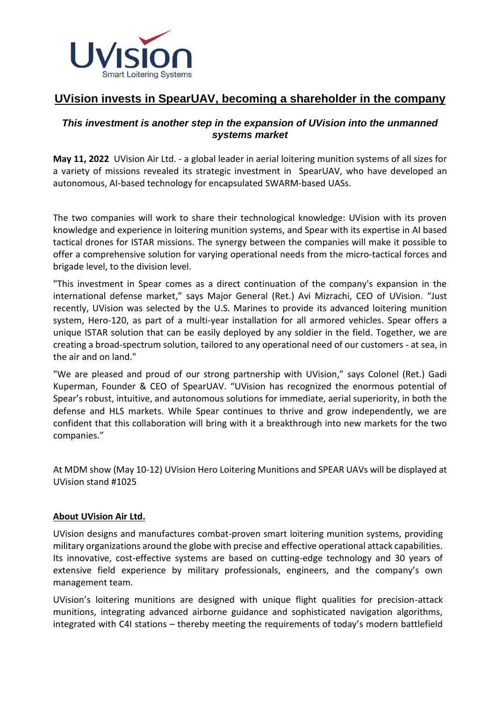

# **UVision invests in SpearUAV, becoming a shareholder in the company**

## *This investment is another step in the expansion of UVision into the unmanned systems market*

**May 11, 2022** UVision Air Ltd. - a global leader in aerial loitering munition systems of all sizes for a variety of missions revealed its strategic investment in SpearUAV, who have developed an autonomous, AI-based technology for encapsulated SWARM-based UASs.

The two companies will work to share their technological knowledge: UVision with its proven knowledge and experience in loitering munition systems, and Spear with its expertise in AI based tactical drones for ISTAR missions. The synergy between the companies will make it possible to offer a comprehensive solution for varying operational needs from the micro-tactical forces and brigade level, to the division level.

"This investment in Spear comes as a direct continuation of the company's expansion in the international defense market," says Major General (Ret.) Avi Mizrachi, CEO of UVision. "Just recently, UVision was selected by the U.S. Marines to provide its advanced loitering munition system, Hero-120, as part of a multi-year installation for all armored vehicles. Spear offers a unique ISTAR solution that can be easily deployed by any soldier in the field. Together, we are creating a broad-spectrum solution, tailored to any operational need of our customers - at sea, in the air and on land."

"We are pleased and proud of our strong partnership with UVision," says Colonel (Ret.) Gadi Kuperman, Founder & CEO of SpearUAV. "UVision has recognized the enormous potential of Spear's robust, intuitive, and autonomous solutions for immediate, aerial superiority, in both the defense and HLS markets. While Spear continues to thrive and grow independently, we are confident that this collaboration will bring with it a breakthrough into new markets for the two companies."

At MDM show (May 10-12) UVision Hero Loitering Munitions and SPEAR UAVs will be displayed at UVision stand #1025

## **About [UVision](http://www.uvisionuav.com/) Air Ltd.**

UVision designs and manufactures combat-proven smart loitering munition systems, providing military organizations around the globe with precise and effective operational attack capabilities. Its innovative, cost-effective systems are based on cutting-edge technology and 30 years of extensive field experience by military professionals, engineers, and the company's own management team.

UVision's loitering munitions are designed with unique flight qualities for precision-attack munitions, integrating advanced airborne guidance and sophisticated navigation algorithms, integrated with C4I stations – thereby meeting the requirements of today's modern battlefield